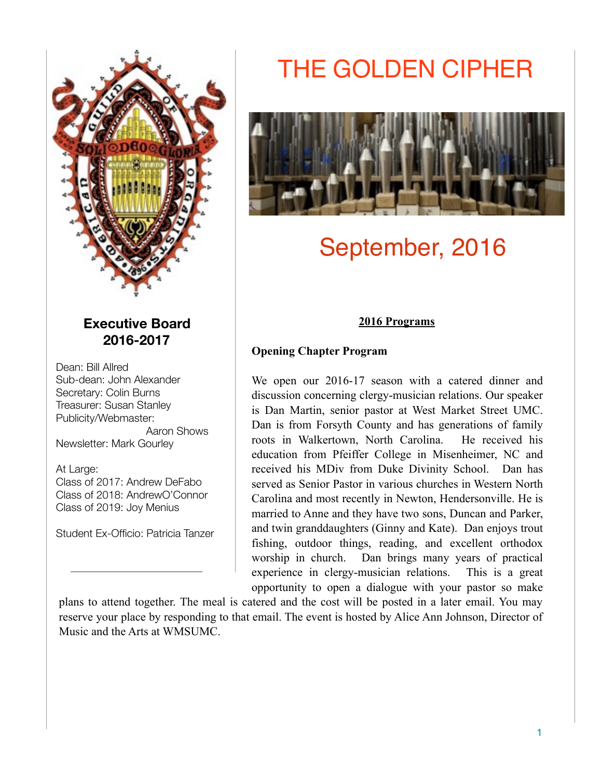

# **Executive Board 2016-2017**

Dean: Bill Allred Sub-dean: John Alexander Secretary: Colin Burns Treasurer: Susan Stanley Publicity/Webmaster: Aaron Shows

Newsletter: Mark Gourley

At Large:

Class of 2017: Andrew DeFabo Class of 2018: AndrewO'Connor Class of 2019: Joy Menius

Student Ex-Officio: Patricia Tanzer

# THE GOLDEN CIPHER



# September, 2016

# **2016 Programs**

# **Opening Chapter Program**

We open our 2016-17 season with a catered dinner and discussion concerning clergy-musician relations. Our speaker is Dan Martin, senior pastor at West Market Street UMC. Dan is from Forsyth County and has generations of family roots in Walkertown, North Carolina. He received his education from Pfeiffer College in Misenheimer, NC and received his MDiv from Duke Divinity School. Dan has served as Senior Pastor in various churches in Western North Carolina and most recently in Newton, Hendersonville. He is married to Anne and they have two sons, Duncan and Parker, and twin granddaughters (Ginny and Kate). Dan enjoys trout fishing, outdoor things, reading, and excellent orthodox worship in church. Dan brings many years of practical experience in clergy-musician relations. This is a great opportunity to open a dialogue with your pastor so make

plans to attend together. The meal is catered and the cost will be posted in a later email. You may reserve your place by responding to that email. The event is hosted by Alice Ann Johnson, Director of Music and the Arts at WMSUMC.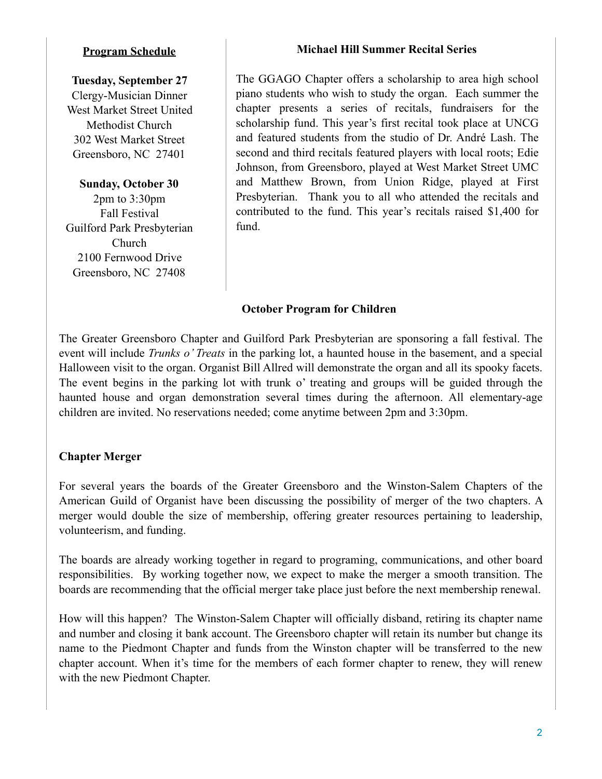#### **Program Schedule**

#### **Tuesday, September 27**

Clergy-Musician Dinner West Market Street United Methodist Church 302 West Market Street Greensboro, NC 27401

**Sunday, October 30** 2pm to 3:30pm Fall Festival Guilford Park Presbyterian

Church 2100 Fernwood Drive Greensboro, NC 27408

#### **Michael Hill Summer Recital Series**

The GGAGO Chapter offers a scholarship to area high school piano students who wish to study the organ. Each summer the chapter presents a series of recitals, fundraisers for the scholarship fund. This year's first recital took place at UNCG and featured students from the studio of Dr. André Lash. The second and third recitals featured players with local roots; Edie Johnson, from Greensboro, played at West Market Street UMC and Matthew Brown, from Union Ridge, played at First Presbyterian. Thank you to all who attended the recitals and contributed to the fund. This year's recitals raised \$1,400 for fund.

#### **October Program for Children**

The Greater Greensboro Chapter and Guilford Park Presbyterian are sponsoring a fall festival. The event will include *Trunks o' Treats* in the parking lot, a haunted house in the basement, and a special Halloween visit to the organ. Organist Bill Allred will demonstrate the organ and all its spooky facets. The event begins in the parking lot with trunk o' treating and groups will be guided through the haunted house and organ demonstration several times during the afternoon. All elementary-age children are invited. No reservations needed; come anytime between 2pm and 3:30pm.

# **Chapter Merger**

For several years the boards of the Greater Greensboro and the Winston-Salem Chapters of the American Guild of Organist have been discussing the possibility of merger of the two chapters. A merger would double the size of membership, offering greater resources pertaining to leadership, volunteerism, and funding.

The boards are already working together in regard to programing, communications, and other board responsibilities. By working together now, we expect to make the merger a smooth transition. The boards are recommending that the official merger take place just before the next membership renewal.

How will this happen? The Winston-Salem Chapter will officially disband, retiring its chapter name and number and closing it bank account. The Greensboro chapter will retain its number but change its name to the Piedmont Chapter and funds from the Winston chapter will be transferred to the new chapter account. When it's time for the members of each former chapter to renew, they will renew with the new Piedmont Chapter.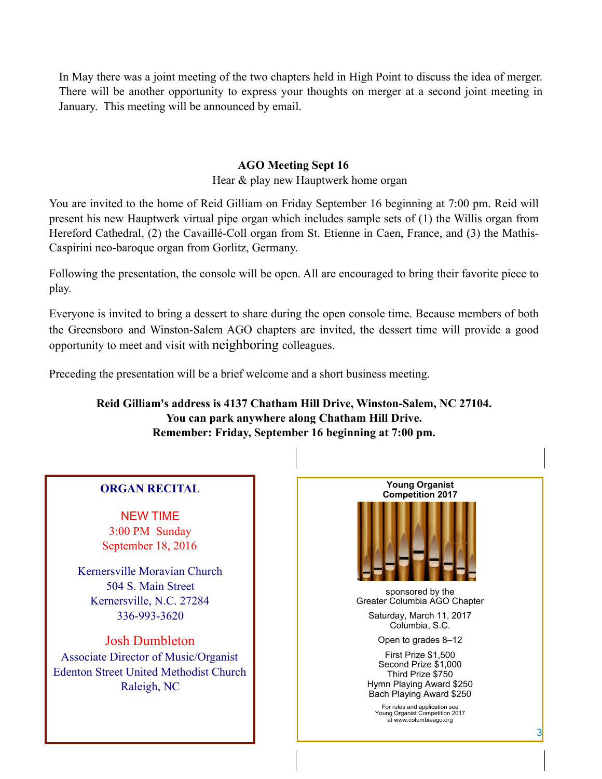In May there was a joint meeting of the two chapters held in High Point to discuss the idea of merger. There will be another opportunity to express your thoughts on merger at a second joint meeting in January. This meeting will be announced by email.

### **AGO Meeting Sept 16**

Hear & play new Hauptwerk home organ

You are invited to the home of Reid Gilliam on Friday September 16 beginning at 7:00 pm. Reid will present his new Hauptwerk virtual pipe organ which includes sample sets of (1) the Willis organ from Hereford Cathedral, (2) the Cavaillé-Coll organ from St. Etienne in Caen, France, and (3) the Mathis-Caspirini neo-baroque organ from Gorlitz, Germany.

Following the presentation, the console will be open. All are encouraged to bring their favorite piece to play.

Everyone is invited to bring a dessert to share during the open console time. Because members of both the Greensboro and Winston-Salem AGO chapters are invited, the dessert time will provide a good opportunity to meet and visit with neighboring colleagues.

Preceding the presentation will be a brief welcome and a short business meeting.

**Reid Gilliam's address is 4137 Chatham Hill Drive, Winston-Salem, NC 27104. You can park anywhere along Chatham Hill Drive. Remember: Friday, September 16 beginning at 7:00 pm.**

# **ORGAN RECITAL**

NEW TIME 3:00 PM Sunday September 18, 2016

Kernersville Moravian Church 504 S. Main Street Kernersville, N.C. 27284 336-993-3620

Josh Dumbleton Associate Director of Music/Organist Edenton Street United Methodist Church Raleigh, NC

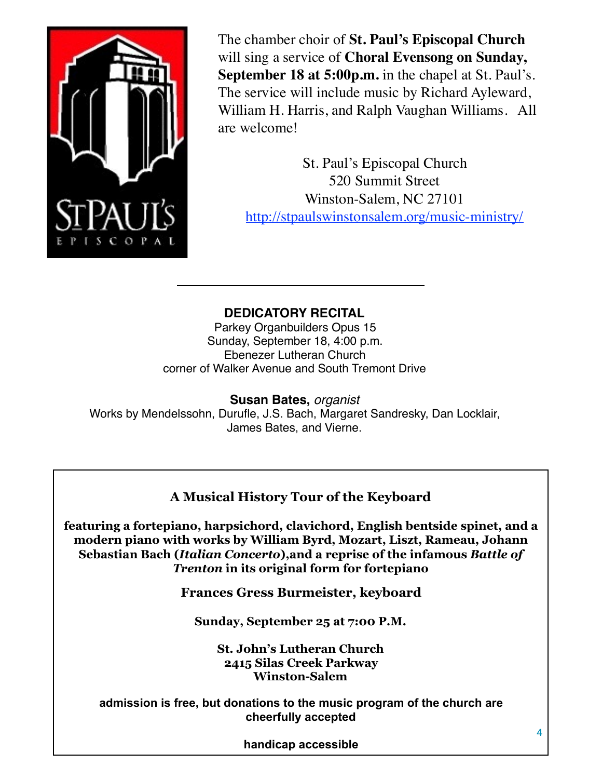

The chamber choir of **St. Paul's Episcopal Church** will sing a service of **Choral Evensong on Sunday, September 18 at 5:00p.m.** in the chapel at St. Paul's. The service will include music by Richard Ayleward, William H. Harris, and Ralph Vaughan Williams. All are welcome!

St. Paul's Episcopal Church 520 Summit Street Winston-Salem, NC 27101 <http://stpaulswinstonsalem.org/music-ministry/>

# **DEDICATORY RECITAL**

Parkey Organbuilders Opus 15 Sunday, September 18, 4:00 p.m. Ebenezer Lutheran Church corner of Walker Avenue and South Tremont Drive

**Susan Bates,** *organist* Works by Mendelssohn, Durufle, J.S. Bach, Margaret Sandresky, Dan Locklair, James Bates, and Vierne.

# **A Musical History Tour of the Keyboard**

**featuring a fortepiano, harpsichord, clavichord, English bentside spinet, and a modern piano with works by William Byrd, Mozart, Liszt, Rameau, Johann Sebastian Bach (***Italian Concerto***),and a reprise of the infamous** *Battle of Trenton* **in its original form for fortepiano**

**Frances Gress Burmeister, keyboard**

**Sunday, September 25 at 7:00 P.M.**

**St. John's Lutheran Church 2415 Silas Creek Parkway Winston-Salem**

**admission is free, but donations to the music program of the church are cheerfully accepted** 

**handicap accessible**